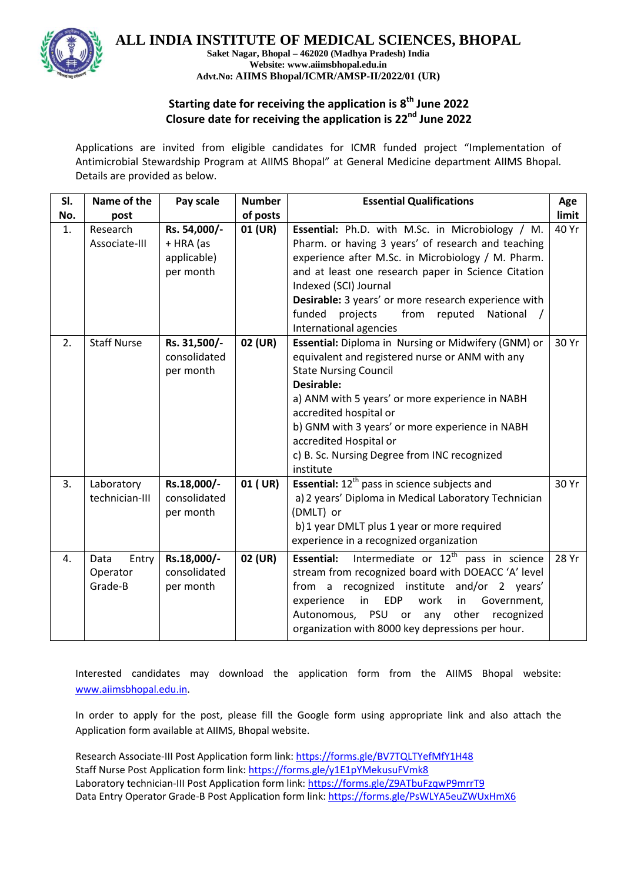

**ALL INDIA INSTITUTE OF MEDICAL SCIENCES, BHOPAL**

**Saket Nagar, Bhopal – 462020 (Madhya Pradesh) India Website: www.aiimsbhopal.edu.in Advt.No: AIIMS Bhopal/ICMR/AMSP-II/2022/01 (UR)**

## **Starting date for receiving the application is 8 th June 2022 Closure date for receiving the application is 22nd June 2022**

Applications are invited from eligible candidates for ICMR funded project "Implementation of Antimicrobial Stewardship Program at AIIMS Bhopal" at General Medicine department AIIMS Bhopal. Details are provided as below.

| SI. | Name of the                          | Pay scale                                             | <b>Number</b> | <b>Essential Qualifications</b>                                                                                                                                                                                                                                                                                                                                                                |       |  |
|-----|--------------------------------------|-------------------------------------------------------|---------------|------------------------------------------------------------------------------------------------------------------------------------------------------------------------------------------------------------------------------------------------------------------------------------------------------------------------------------------------------------------------------------------------|-------|--|
| No. | post                                 |                                                       | of posts      |                                                                                                                                                                                                                                                                                                                                                                                                |       |  |
| 1.  | Research<br>Associate-III            | Rs. 54,000/-<br>+ HRA (as<br>applicable)<br>per month | 01 (UR)       | Essential: Ph.D. with M.Sc. in Microbiology / M.<br>40 Yr<br>Pharm. or having 3 years' of research and teaching<br>experience after M.Sc. in Microbiology / M. Pharm.<br>and at least one research paper in Science Citation<br>Indexed (SCI) Journal<br>Desirable: 3 years' or more research experience with<br>projects<br>funded<br>from<br>reputed<br>National /<br>International agencies |       |  |
| 2.  | <b>Staff Nurse</b>                   | Rs. 31,500/-<br>consolidated<br>per month             | 02 (UR)       | Essential: Diploma in Nursing or Midwifery (GNM) or<br>30 Yr<br>equivalent and registered nurse or ANM with any<br><b>State Nursing Council</b><br><b>Desirable:</b><br>a) ANM with 5 years' or more experience in NABH<br>accredited hospital or<br>b) GNM with 3 years' or more experience in NABH<br>accredited Hospital or<br>c) B. Sc. Nursing Degree from INC recognized<br>institute    |       |  |
| 3.  | Laboratory<br>technician-III         | Rs.18,000/-<br>consolidated<br>per month              | 01 (UR)       | <b>Essential:</b> 12 <sup>th</sup> pass in science subjects and<br>a) 2 years' Diploma in Medical Laboratory Technician<br>(DMLT) or<br>b) 1 year DMLT plus 1 year or more required<br>experience in a recognized organization                                                                                                                                                                 |       |  |
| 4.  | Data<br>Entry<br>Operator<br>Grade-B | Rs.18,000/-<br>consolidated<br>per month              | 02 (UR)       | Intermediate or 12 <sup>th</sup> pass in science<br><b>Essential:</b><br>stream from recognized board with DOEACC 'A' level<br>from a recognized institute and/or 2 years'<br>in<br><b>EDP</b><br>work<br>Government,<br>experience<br>in<br>Autonomous, PSU<br>other<br>or any<br>recognized<br>organization with 8000 key depressions per hour.                                              | 28 Yr |  |

Interested candidates may download the application form from the AIIMS Bhopal website: [www.aiimsbhopal.edu.in.](http://www.aiimsbhopal.edu.in/)

In order to apply for the post, please fill the Google form using appropriate link and also attach the Application form available at AIIMS, Bhopal website.

Research Associate-III Post Application form link[: https://forms.gle/BV7TQLTYefMfY1H48](https://forms.gle/BV7TQLTYefMfY1H48) Staff Nurse Post Application form link: <https://forms.gle/y1E1pYMekusuFVmk8> Laboratory technician-III Post Application form link: <https://forms.gle/Z9ATbuFzqwP9mrrT9> Data Entry Operator Grade-B Post Application form link: <https://forms.gle/PsWLYA5euZWUxHmX6>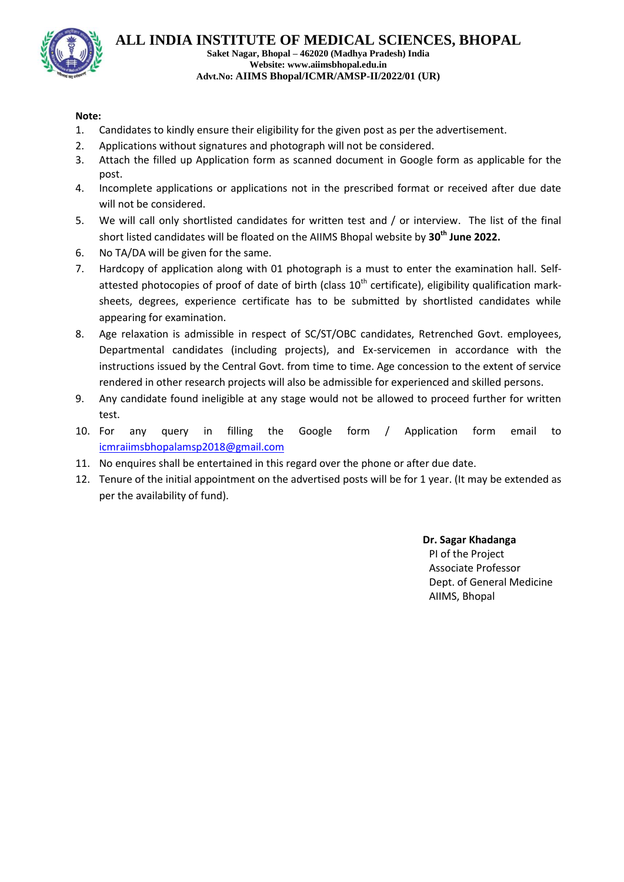

## **Note:**

- 1. Candidates to kindly ensure their eligibility for the given post as per the advertisement.
- 2. Applications without signatures and photograph will not be considered.
- 3. Attach the filled up Application form as scanned document in Google form as applicable for the post.
- 4. Incomplete applications or applications not in the prescribed format or received after due date will not be considered.
- 5. We will call only shortlisted candidates for written test and / or interview. The list of the final short listed candidates will be floated on the AIIMS Bhopal website by **30th June 2022.**
- 6. No TA/DA will be given for the same.
- 7. Hardcopy of application along with 01 photograph is a must to enter the examination hall. Selfattested photocopies of proof of date of birth (class  $10<sup>th</sup>$  certificate), eligibility qualification marksheets, degrees, experience certificate has to be submitted by shortlisted candidates while appearing for examination.
- 8. Age relaxation is admissible in respect of SC/ST/OBC candidates, Retrenched Govt. employees, Departmental candidates (including projects), and Ex-servicemen in accordance with the instructions issued by the Central Govt. from time to time. Age concession to the extent of service rendered in other research projects will also be admissible for experienced and skilled persons.
- 9. Any candidate found ineligible at any stage would not be allowed to proceed further for written test.
- 10. For any query in filling the Google form / Application form email to [icmraiimsbhopalamsp2018@gmail.com](mailto:icmraiimsbhopalamsp2018@gmail.com)
- 11. No enquires shall be entertained in this regard over the phone or after due date.
- 12. Tenure of the initial appointment on the advertised posts will be for 1 year. (It may be extended as per the availability of fund).

**Dr. Sagar Khadanga** PI of the Project Associate Professor Dept. of General Medicine AIIMS, Bhopal